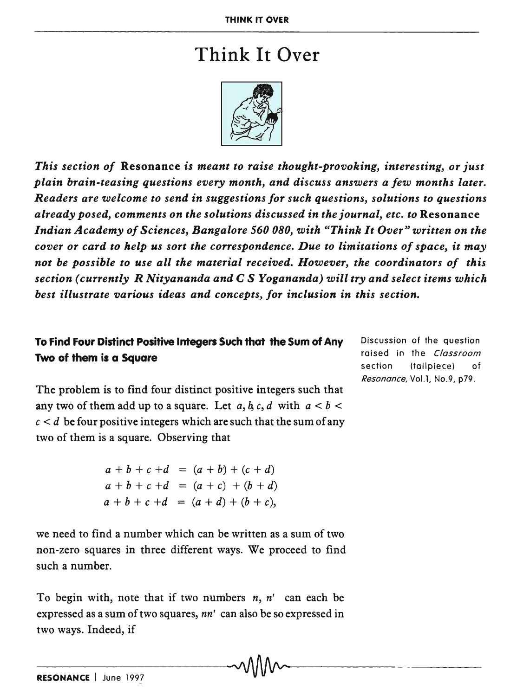## Think It Over

*This section of* Resonance *is meant to raise thought-provoking, interesting, or just plain brain-teasing questions every month, and discuss answers a few months later. Readers are welcome to send* in *suggestions for such questions, solutions to questions already posed, comments on the solutions discussed* in *the journal, etc. to* Resonance *Indian Academy of Sciences, Bangalore 560 080, with "Think It Over" written on the cover or card to help us sort the correspondence. Due to limitations of space, it may not be possible to use all the material received. However, the coordinators of this section (currently R Nityananda and* C S *Yogananda) will try and select items which best illustrate various ideas and concepts, for inclusion in this section.* 

## To Find Four Distind Positive Integers Such that the Sum of Any Two of them is a Square

Discussion of the question raised in the Classroom section (tailpiece) of Resonance, VoLl, No.9, p79.

The problem is to find four distinct positive integers such that any two of them add up to a square. Let  $a, b, c, d$  with  $a < b < a$  $c < d$  be four positive integers which are such that the sum of any two of them is a square. Observing that

> $a + b + c + d = (a + b) + (c + d)$  $a + b + c + d = (a + c) + (b + d)$  $a + b + c + d = (a + d) + (b + c)$ .

we need to find a number which can be written as a sum of two non-zero squares in three different ways. We proceed to find such a number.

To begin with, note that if two numbers *n, n'* can each be expressed as a sum of two squares, *nn'* can also be so expressed in two ways. Indeed, if